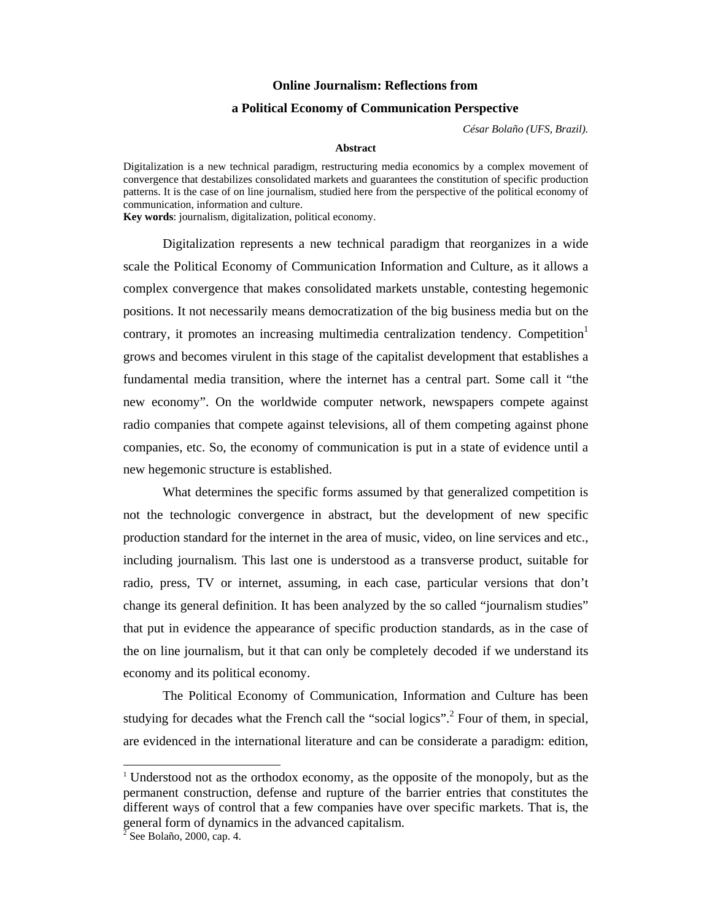## **Online Journalism: Reflections from**

## **a Political Economy of Communication Perspective**

*César Bolaño (UFS, Brazil).* 

## **Abstract**

Digitalization is a new technical paradigm, restructuring media economics by a complex movement of convergence that destabilizes consolidated markets and guarantees the constitution of specific production patterns. It is the case of on line journalism, studied here from the perspective of the political economy of communication, information and culture.

**Key words**: journalism, digitalization, political economy.

Digitalization represents a new technical paradigm that reorganizes in a wide scale the Political Economy of Communication Information and Culture, as it allows a complex convergence that makes consolidated markets unstable, contesting hegemonic positions. It not necessarily means democratization of the big business media but on the contrary, it promotes an increasing multimedia centralization tendency. Competition<sup>1</sup> grows and becomes virulent in this stage of the capitalist development that establishes a fundamental media transition, where the internet has a central part. Some call it "the new economy". On the worldwide computer network, newspapers compete against radio companies that compete against televisions, all of them competing against phone companies, etc. So, the economy of communication is put in a state of evidence until a new hegemonic structure is established.

What determines the specific forms assumed by that generalized competition is not the technologic convergence in abstract, but the development of new specific production standard for the internet in the area of music, video, on line services and etc., including journalism. This last one is understood as a transverse product, suitable for radio, press, TV or internet, assuming, in each case, particular versions that don't change its general definition. It has been analyzed by the so called "journalism studies" that put in evidence the appearance of specific production standards, as in the case of the on line journalism, but it that can only be completely decoded if we understand its economy and its political economy.

The Political Economy of Communication, Information and Culture has been studying for decades what the French call the "social logics".<sup>2</sup> Four of them, in special, are evidenced in the international literature and can be considerate a paradigm: edition,

 $\overline{a}$ 

<sup>1</sup> Understood not as the orthodox economy, as the opposite of the monopoly, but as the permanent construction, defense and rupture of the barrier entries that constitutes the different ways of control that a few companies have over specific markets. That is, the general form of dynamics in the advanced capitalism.

 $2^{\delta}$  See Bolaño, 2000, cap. 4.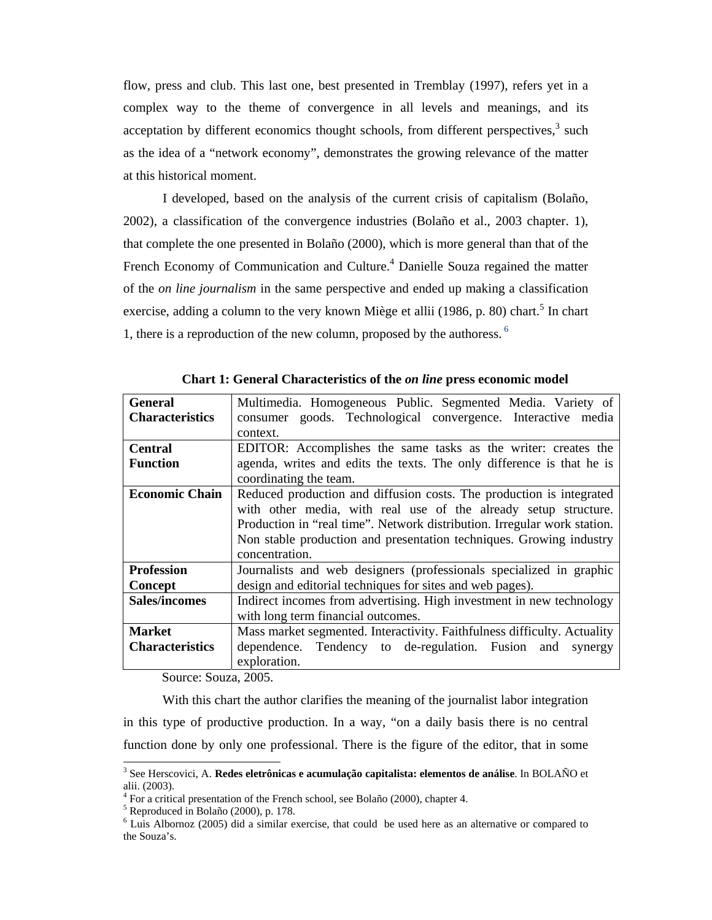flow, press and club. This last one, best presented in Tremblay (1997), refers yet in a complex way to the theme of convergence in all levels and meanings, and its acceptation by different economics thought schools, from different perspectives, $3$  such as the idea of a "network economy", demonstrates the growing relevance of the matter at this historical moment.

I developed, based on the analysis of the current crisis of capitalism (Bolaño, 2002), a classification of the convergence industries (Bolaño et al., 2003 chapter. 1), that complete the one presented in Bolaño (2000), which is more general than that of the French Economy of Communication and Culture.<sup>4</sup> Danielle Souza regained the matter of the *on line journalism* in the same perspective and ended up making a classification exercise, adding a column to the very known Miège et allii (1986, p. 80) chart.<sup>5</sup> In chart 1, there is a reproduction of the new column, proposed by the authoress. 6

| <b>General</b>         | Multimedia. Homogeneous Public. Segmented Media. Variety of                                     |  |  |  |
|------------------------|-------------------------------------------------------------------------------------------------|--|--|--|
| <b>Characteristics</b> | consumer goods. Technological convergence. Interactive media                                    |  |  |  |
|                        | context.                                                                                        |  |  |  |
| <b>Central</b>         | EDITOR: Accomplishes the same tasks as the writer: creates the                                  |  |  |  |
| <b>Function</b>        | agenda, writes and edits the texts. The only difference is that he is<br>coordinating the team. |  |  |  |
|                        |                                                                                                 |  |  |  |
| <b>Economic Chain</b>  | Reduced production and diffusion costs. The production is integrated                            |  |  |  |
|                        | with other media, with real use of the already setup structure.                                 |  |  |  |
|                        | Production in "real time". Network distribution. Irregular work station.                        |  |  |  |
|                        | Non stable production and presentation techniques. Growing industry                             |  |  |  |
|                        | concentration.                                                                                  |  |  |  |
| <b>Profession</b>      | Journalists and web designers (professionals specialized in graphic                             |  |  |  |
| Concept                | design and editorial techniques for sites and web pages).                                       |  |  |  |
| <b>Sales/incomes</b>   | Indirect incomes from advertising. High investment in new technology                            |  |  |  |
|                        | with long term financial outcomes.                                                              |  |  |  |
| <b>Market</b>          | Mass market segmented. Interactivity. Faithfulness difficulty. Actuality                        |  |  |  |
| <b>Characteristics</b> | dependence. Tendency to de-regulation. Fusion and<br>synergy                                    |  |  |  |
|                        | exploration.                                                                                    |  |  |  |

**Chart 1: General Characteristics of the** *on line* **press economic model** 

Source: Souza, 2005.

With this chart the author clarifies the meaning of the journalist labor integration in this type of productive production. In a way, "on a daily basis there is no central function done by only one professional. There is the figure of the editor, that in some

 3 See Herscovici, A. **Redes eletrônicas e acumulação capitalista: elementos de análise**. In BOLAÑO et alii. (2003).

<sup>&</sup>lt;sup>4</sup> For a critical presentation of the French school, see Bolaño (2000), chapter 4.

<sup>5</sup> Reproduced in Bolaño (2000), p. 178.

<sup>&</sup>lt;sup>6</sup> Luis Albornoz (2005) did a similar exercise, that could be used here as an alternative or compared to the Souza's.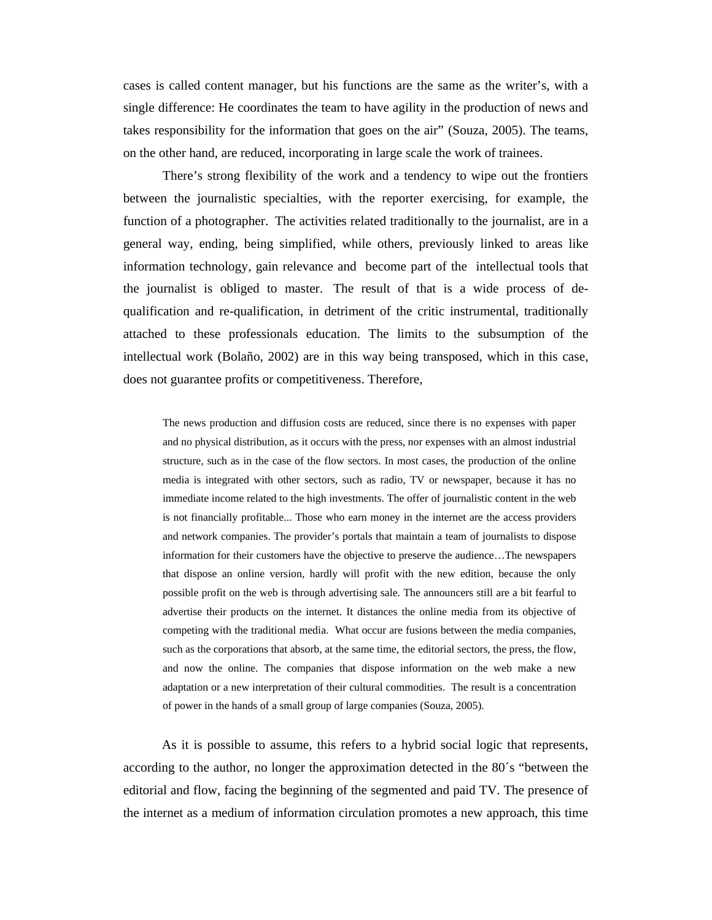cases is called content manager, but his functions are the same as the writer's, with a single difference: He coordinates the team to have agility in the production of news and takes responsibility for the information that goes on the air" (Souza, 2005). The teams, on the other hand, are reduced, incorporating in large scale the work of trainees.

There's strong flexibility of the work and a tendency to wipe out the frontiers between the journalistic specialties, with the reporter exercising, for example, the function of a photographer. The activities related traditionally to the journalist, are in a general way, ending, being simplified, while others, previously linked to areas like information technology, gain relevance and become part of the intellectual tools that the journalist is obliged to master. The result of that is a wide process of dequalification and re-qualification, in detriment of the critic instrumental, traditionally attached to these professionals education. The limits to the subsumption of the intellectual work (Bolaño, 2002) are in this way being transposed, which in this case, does not guarantee profits or competitiveness. Therefore,

The news production and diffusion costs are reduced, since there is no expenses with paper and no physical distribution, as it occurs with the press, nor expenses with an almost industrial structure, such as in the case of the flow sectors. In most cases, the production of the online media is integrated with other sectors, such as radio, TV or newspaper, because it has no immediate income related to the high investments. The offer of journalistic content in the web is not financially profitable... Those who earn money in the internet are the access providers and network companies. The provider's portals that maintain a team of journalists to dispose information for their customers have the objective to preserve the audience…The newspapers that dispose an online version, hardly will profit with the new edition, because the only possible profit on the web is through advertising sale. The announcers still are a bit fearful to advertise their products on the internet. It distances the online media from its objective of competing with the traditional media. What occur are fusions between the media companies, such as the corporations that absorb, at the same time, the editorial sectors, the press, the flow, and now the online. The companies that dispose information on the web make a new adaptation or a new interpretation of their cultural commodities. The result is a concentration of power in the hands of a small group of large companies (Souza, 2005).

As it is possible to assume, this refers to a hybrid social logic that represents, according to the author, no longer the approximation detected in the 80´s "between the editorial and flow, facing the beginning of the segmented and paid TV. The presence of the internet as a medium of information circulation promotes a new approach, this time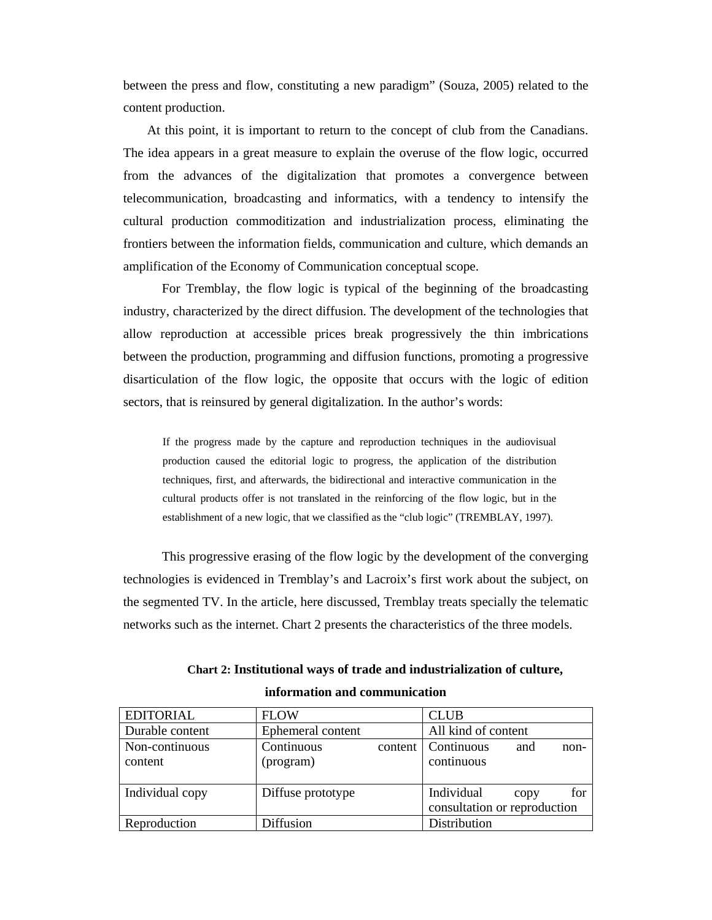between the press and flow, constituting a new paradigm" (Souza, 2005) related to the content production.

At this point, it is important to return to the concept of club from the Canadians. The idea appears in a great measure to explain the overuse of the flow logic, occurred from the advances of the digitalization that promotes a convergence between telecommunication, broadcasting and informatics, with a tendency to intensify the cultural production commoditization and industrialization process, eliminating the frontiers between the information fields, communication and culture, which demands an amplification of the Economy of Communication conceptual scope.

For Tremblay, the flow logic is typical of the beginning of the broadcasting industry, characterized by the direct diffusion. The development of the technologies that allow reproduction at accessible prices break progressively the thin imbrications between the production, programming and diffusion functions, promoting a progressive disarticulation of the flow logic, the opposite that occurs with the logic of edition sectors, that is reinsured by general digitalization. In the author's words:

If the progress made by the capture and reproduction techniques in the audiovisual production caused the editorial logic to progress, the application of the distribution techniques, first, and afterwards, the bidirectional and interactive communication in the cultural products offer is not translated in the reinforcing of the flow logic, but in the establishment of a new logic, that we classified as the "club logic" (TREMBLAY, 1997).

This progressive erasing of the flow logic by the development of the converging technologies is evidenced in Tremblay's and Lacroix's first work about the subject, on the segmented TV. In the article, here discussed, Tremblay treats specially the telematic networks such as the internet. Chart 2 presents the characteristics of the three models.

| <b>EDITORIAL</b>          | <b>FLOW</b>             |         | <b>CLUB</b>                                |      |        |
|---------------------------|-------------------------|---------|--------------------------------------------|------|--------|
| Durable content           | Ephemeral content       |         | All kind of content                        |      |        |
| Non-continuous<br>content | Continuous<br>(program) | content | Continuous<br>continuous                   | and  | $non-$ |
| Individual copy           | Diffuse prototype       |         | Individual<br>consultation or reproduction | copy | for    |
| Reproduction              | Diffusion               |         | Distribution                               |      |        |

**Chart 2: Institutional ways of trade and industrialization of culture, information and communication**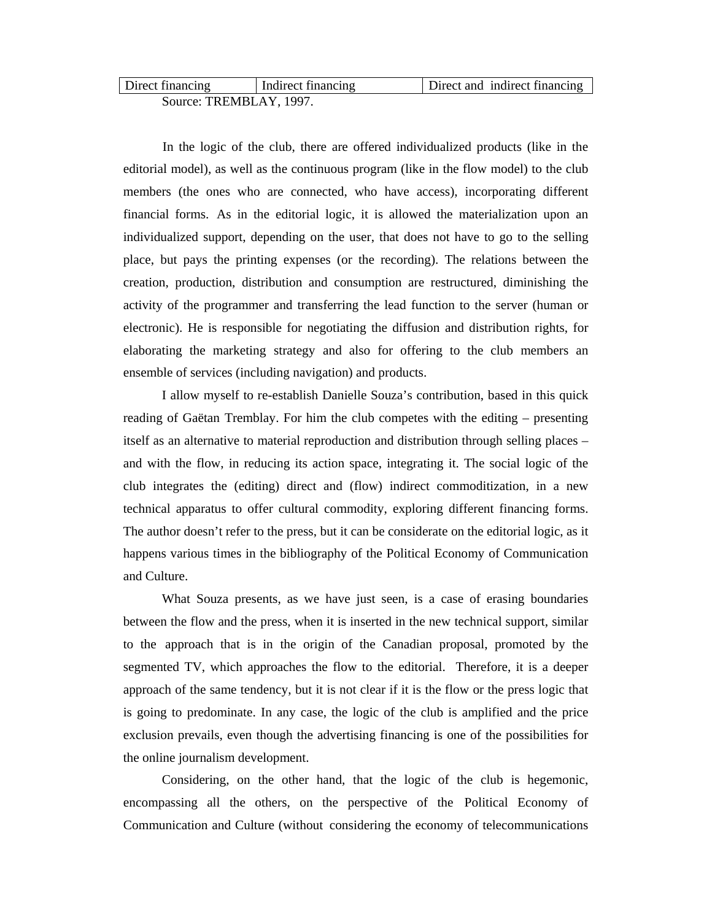| Direct financing        | Indirect financing | Direct and indirect financing |
|-------------------------|--------------------|-------------------------------|
| Source: TREMBLAY, 1997. |                    |                               |

In the logic of the club, there are offered individualized products (like in the editorial model), as well as the continuous program (like in the flow model) to the club members (the ones who are connected, who have access), incorporating different financial forms. As in the editorial logic, it is allowed the materialization upon an individualized support, depending on the user, that does not have to go to the selling place, but pays the printing expenses (or the recording). The relations between the creation, production, distribution and consumption are restructured, diminishing the activity of the programmer and transferring the lead function to the server (human or electronic). He is responsible for negotiating the diffusion and distribution rights, for elaborating the marketing strategy and also for offering to the club members an ensemble of services (including navigation) and products.

I allow myself to re-establish Danielle Souza's contribution, based in this quick reading of Gaëtan Tremblay. For him the club competes with the editing – presenting itself as an alternative to material reproduction and distribution through selling places – and with the flow, in reducing its action space, integrating it. The social logic of the club integrates the (editing) direct and (flow) indirect commoditization, in a new technical apparatus to offer cultural commodity, exploring different financing forms. The author doesn't refer to the press, but it can be considerate on the editorial logic, as it happens various times in the bibliography of the Political Economy of Communication and Culture.

What Souza presents, as we have just seen, is a case of erasing boundaries between the flow and the press, when it is inserted in the new technical support, similar to the approach that is in the origin of the Canadian proposal, promoted by the segmented TV, which approaches the flow to the editorial. Therefore, it is a deeper approach of the same tendency, but it is not clear if it is the flow or the press logic that is going to predominate. In any case, the logic of the club is amplified and the price exclusion prevails, even though the advertising financing is one of the possibilities for the online journalism development.

Considering, on the other hand, that the logic of the club is hegemonic, encompassing all the others, on the perspective of the Political Economy of Communication and Culture (without considering the economy of telecommunications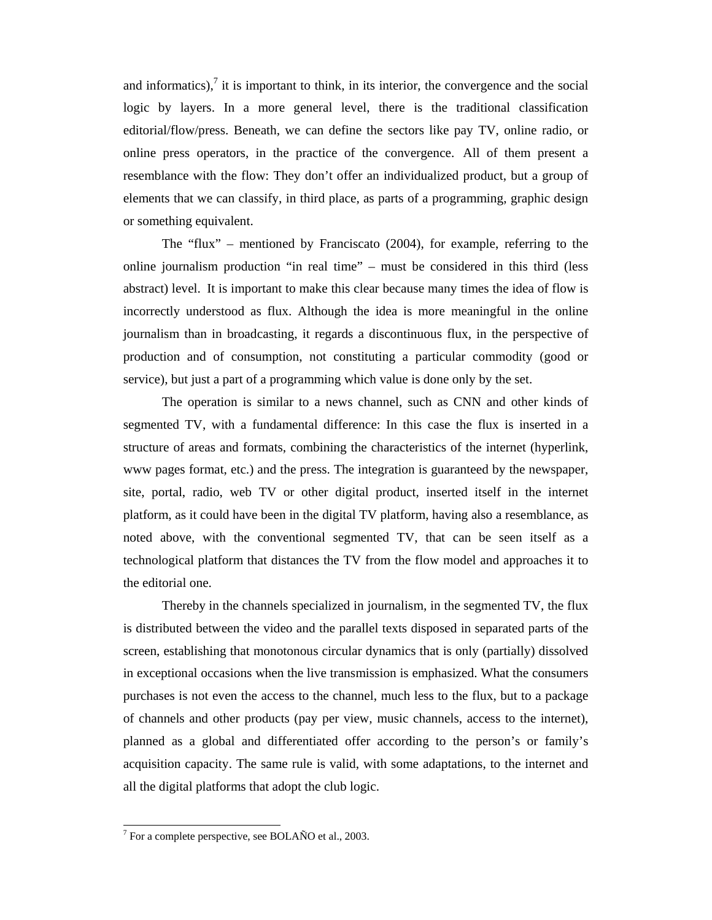and informatics), $\frac{7}{7}$  it is important to think, in its interior, the convergence and the social logic by layers. In a more general level, there is the traditional classification editorial/flow/press. Beneath, we can define the sectors like pay TV, online radio, or online press operators, in the practice of the convergence. All of them present a resemblance with the flow: They don't offer an individualized product, but a group of elements that we can classify, in third place, as parts of a programming, graphic design or something equivalent.

The "flux" – mentioned by Franciscato (2004), for example, referring to the online journalism production "in real time" – must be considered in this third (less abstract) level. It is important to make this clear because many times the idea of flow is incorrectly understood as flux. Although the idea is more meaningful in the online journalism than in broadcasting, it regards a discontinuous flux, in the perspective of production and of consumption, not constituting a particular commodity (good or service), but just a part of a programming which value is done only by the set.

The operation is similar to a news channel, such as CNN and other kinds of segmented TV, with a fundamental difference: In this case the flux is inserted in a structure of areas and formats, combining the characteristics of the internet (hyperlink, www pages format, etc.) and the press. The integration is guaranteed by the newspaper, site, portal, radio, web TV or other digital product, inserted itself in the internet platform, as it could have been in the digital TV platform, having also a resemblance, as noted above, with the conventional segmented TV, that can be seen itself as a technological platform that distances the TV from the flow model and approaches it to the editorial one.

Thereby in the channels specialized in journalism, in the segmented TV, the flux is distributed between the video and the parallel texts disposed in separated parts of the screen, establishing that monotonous circular dynamics that is only (partially) dissolved in exceptional occasions when the live transmission is emphasized. What the consumers purchases is not even the access to the channel, much less to the flux, but to a package of channels and other products (pay per view*,* music channels, access to the internet), planned as a global and differentiated offer according to the person's or family's acquisition capacity. The same rule is valid, with some adaptations, to the internet and all the digital platforms that adopt the club logic.

 7 For a complete perspective, see BOLAÑO et al., 2003.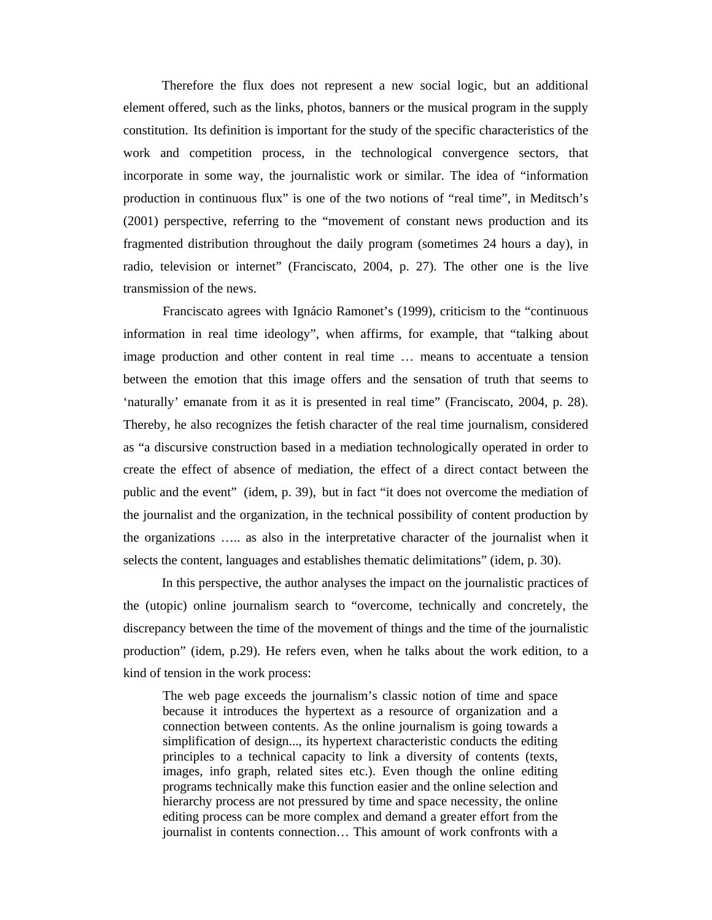Therefore the flux does not represent a new social logic, but an additional element offered, such as the links, photos, banners or the musical program in the supply constitution. Its definition is important for the study of the specific characteristics of the work and competition process, in the technological convergence sectors, that incorporate in some way, the journalistic work or similar. The idea of "information production in continuous flux" is one of the two notions of "real time", in Meditsch's (2001) perspective, referring to the "movement of constant news production and its fragmented distribution throughout the daily program (sometimes 24 hours a day), in radio, television or internet" (Franciscato, 2004, p. 27). The other one is the live transmission of the news.

Franciscato agrees with Ignácio Ramonet's (1999), criticism to the "continuous information in real time ideology", when affirms, for example, that "talking about image production and other content in real time … means to accentuate a tension between the emotion that this image offers and the sensation of truth that seems to 'naturally' emanate from it as it is presented in real time" (Franciscato, 2004, p. 28). Thereby, he also recognizes the fetish character of the real time journalism, considered as "a discursive construction based in a mediation technologically operated in order to create the effect of absence of mediation, the effect of a direct contact between the public and the event" (idem, p. 39), but in fact "it does not overcome the mediation of the journalist and the organization, in the technical possibility of content production by the organizations ….. as also in the interpretative character of the journalist when it selects the content, languages and establishes thematic delimitations" (idem, p. 30).

In this perspective, the author analyses the impact on the journalistic practices of the (utopic) online journalism search to "overcome, technically and concretely, the discrepancy between the time of the movement of things and the time of the journalistic production" (idem, p.29). He refers even, when he talks about the work edition, to a kind of tension in the work process:

The web page exceeds the journalism's classic notion of time and space because it introduces the hypertext as a resource of organization and a connection between contents. As the online journalism is going towards a simplification of design..., its hypertext characteristic conducts the editing principles to a technical capacity to link a diversity of contents (texts, images, info graph, related sites etc.). Even though the online editing programs technically make this function easier and the online selection and hierarchy process are not pressured by time and space necessity, the online editing process can be more complex and demand a greater effort from the journalist in contents connection… This amount of work confronts with a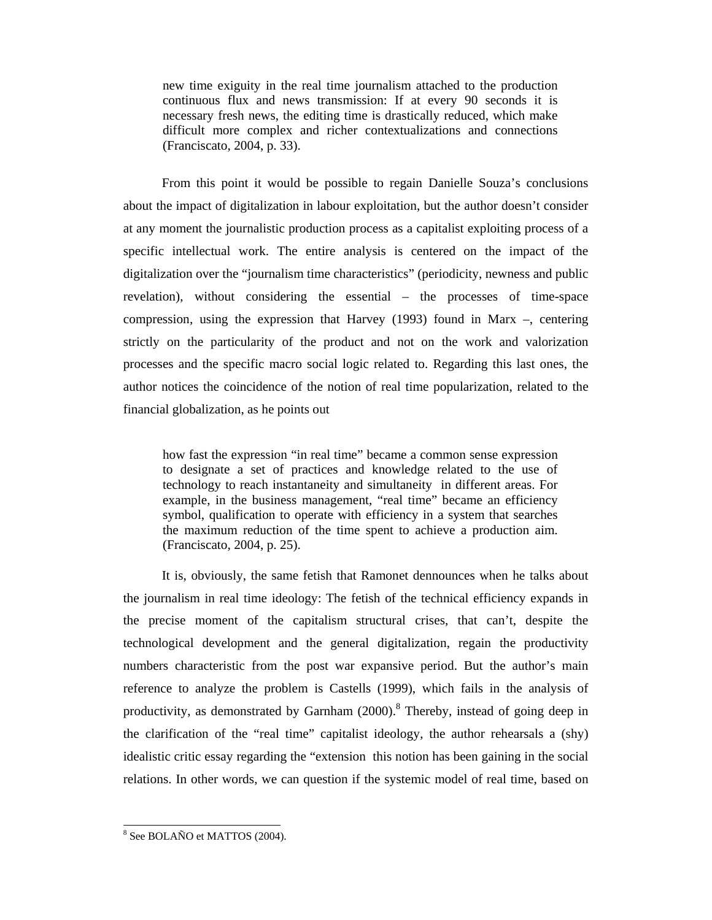new time exiguity in the real time journalism attached to the production continuous flux and news transmission: If at every 90 seconds it is necessary fresh news, the editing time is drastically reduced, which make difficult more complex and richer contextualizations and connections (Franciscato, 2004, p. 33).

From this point it would be possible to regain Danielle Souza's conclusions about the impact of digitalization in labour exploitation, but the author doesn't consider at any moment the journalistic production process as a capitalist exploiting process of a specific intellectual work. The entire analysis is centered on the impact of the digitalization over the "journalism time characteristics" (periodicity, newness and public revelation), without considering the essential – the processes of time-space compression, using the expression that Harvey (1993) found in Marx –, centering strictly on the particularity of the product and not on the work and valorization processes and the specific macro social logic related to. Regarding this last ones, the author notices the coincidence of the notion of real time popularization, related to the financial globalization, as he points out

how fast the expression "in real time" became a common sense expression to designate a set of practices and knowledge related to the use of technology to reach instantaneity and simultaneity in different areas. For example, in the business management, "real time" became an efficiency symbol, qualification to operate with efficiency in a system that searches the maximum reduction of the time spent to achieve a production aim. (Franciscato, 2004, p. 25).

It is, obviously, the same fetish that Ramonet dennounces when he talks about the journalism in real time ideology: The fetish of the technical efficiency expands in the precise moment of the capitalism structural crises, that can't, despite the technological development and the general digitalization, regain the productivity numbers characteristic from the post war expansive period. But the author's main reference to analyze the problem is Castells (1999), which fails in the analysis of productivity, as demonstrated by Garnham (2000).<sup>8</sup> Thereby, instead of going deep in the clarification of the "real time" capitalist ideology, the author rehearsals a (shy) idealistic critic essay regarding the "extension this notion has been gaining in the social relations. In other words, we can question if the systemic model of real time, based on

 8 See BOLAÑO et MATTOS (2004).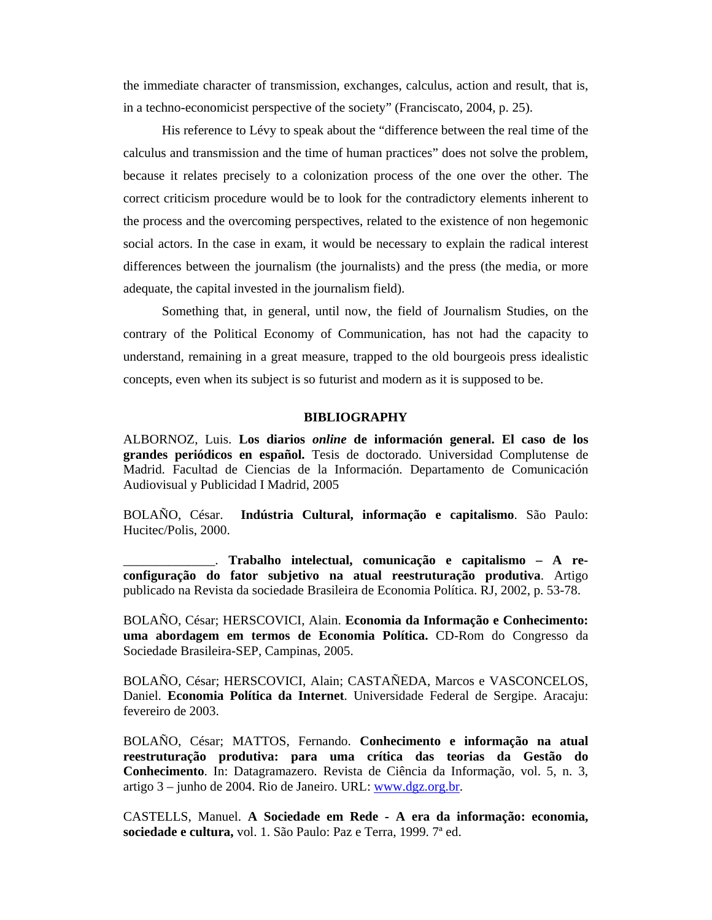the immediate character of transmission, exchanges, calculus, action and result, that is, in a techno-economicist perspective of the society" (Franciscato, 2004, p. 25).

His reference to Lévy to speak about the "difference between the real time of the calculus and transmission and the time of human practices" does not solve the problem, because it relates precisely to a colonization process of the one over the other. The correct criticism procedure would be to look for the contradictory elements inherent to the process and the overcoming perspectives, related to the existence of non hegemonic social actors. In the case in exam, it would be necessary to explain the radical interest differences between the journalism (the journalists) and the press (the media, or more adequate, the capital invested in the journalism field).

Something that, in general, until now, the field of Journalism Studies, on the contrary of the Political Economy of Communication, has not had the capacity to understand, remaining in a great measure, trapped to the old bourgeois press idealistic concepts, even when its subject is so futurist and modern as it is supposed to be.

## **BIBLIOGRAPHY**

ALBORNOZ, Luis. **Los diarios** *online* **de información general. El caso de los grandes periódicos en español.** Tesis de doctorado. Universidad Complutense de Madrid. Facultad de Ciencias de la Información. Departamento de Comunicación Audiovisual y Publicidad I Madrid, 2005

BOLAÑO, César. **Indústria Cultural, informação e capitalismo**. São Paulo: Hucitec/Polis, 2000.

\_\_\_\_\_\_\_\_\_\_\_\_\_\_. **Trabalho intelectual, comunicação e capitalismo – A reconfiguração do fator subjetivo na atual reestruturação produtiva**. Artigo publicado na Revista da sociedade Brasileira de Economia Política. RJ, 2002, p. 53-78.

BOLAÑO, César; HERSCOVICI, Alain. **Economia da Informação e Conhecimento: uma abordagem em termos de Economia Política.** CD-Rom do Congresso da Sociedade Brasileira-SEP, Campinas, 2005.

BOLAÑO, César; HERSCOVICI, Alain; CASTAÑEDA, Marcos e VASCONCELOS, Daniel. **Economia Política da Internet**. Universidade Federal de Sergipe. Aracaju: fevereiro de 2003.

BOLAÑO, César; MATTOS, Fernando. **Conhecimento e informação na atual reestruturação produtiva: para uma crítica das teorias da Gestão do Conhecimento**. In: Datagramazero. Revista de Ciência da Informação, vol. 5, n. 3, artigo 3 – junho de 2004. Rio de Janeiro. URL: www.dgz.org.br.

CASTELLS, Manuel. **A Sociedade em Rede - A era da informação: economia, sociedade e cultura,** vol. 1. São Paulo: Paz e Terra, 1999. 7ª ed.